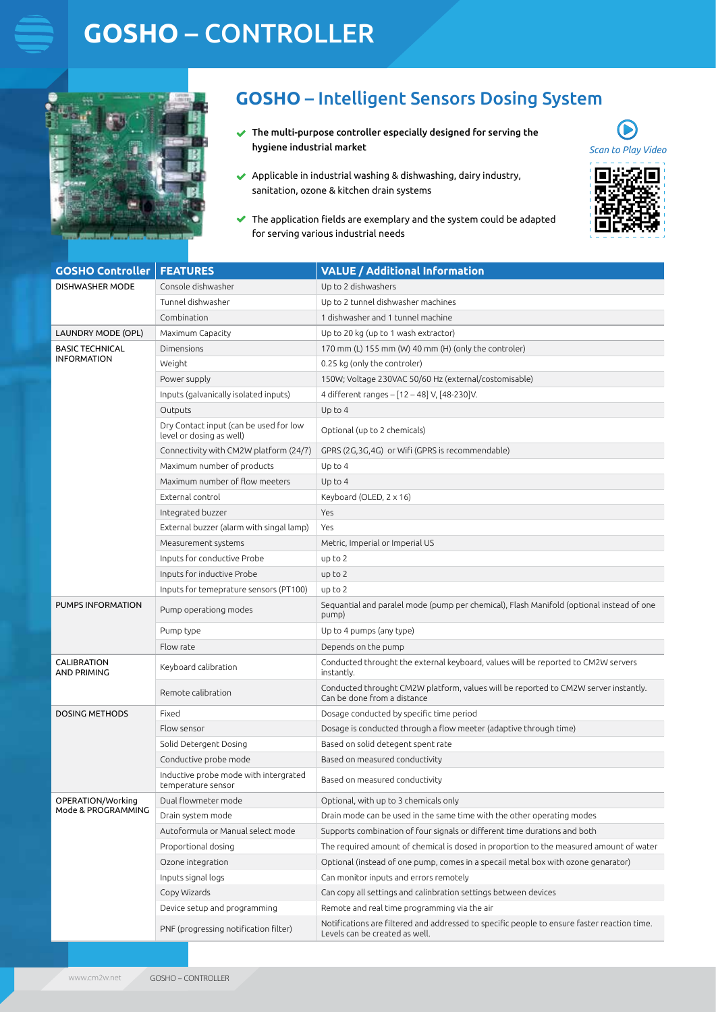# **GOSHO** – CONTROLLER



### **GOSHO** – Intelligent Sensors Dosing System

(P *Scan to Play Video*

 $\blacktriangleright$  The multi-purpose controller especially designed for serving the hygiene industrial market



 $\blacktriangleright$  The application fields are exemplary and the system could be adapted for serving various industrial needs

| <b>GOSHO Controller</b>                      | <b>FEATURES</b>                                                    | <b>VALUE / Additional Information</b>                                                                                         |
|----------------------------------------------|--------------------------------------------------------------------|-------------------------------------------------------------------------------------------------------------------------------|
| DISHWASHER MODE                              | Console dishwasher                                                 | Up to 2 dishwashers                                                                                                           |
|                                              | Tunnel dishwasher                                                  | Up to 2 tunnel dishwasher machines                                                                                            |
|                                              | Combination                                                        | 1 dishwasher and 1 tunnel machine                                                                                             |
| LAUNDRY MODE (OPL)                           | Maximum Capacity                                                   | Up to 20 kg (up to 1 wash extractor)                                                                                          |
| <b>BASIC TECHNICAL</b><br><b>INFORMATION</b> | Dimensions                                                         | 170 mm (L) 155 mm (W) 40 mm (H) (only the controler)                                                                          |
|                                              | Weight                                                             | 0.25 kg (only the controler)                                                                                                  |
|                                              | Power supply                                                       | 150W; Voltage 230VAC 50/60 Hz (external/costomisable)                                                                         |
|                                              | Inputs (galvanically isolated inputs)                              | 4 different ranges - [12 - 48] V, [48-230]V.                                                                                  |
|                                              | Outputs                                                            | Up to 4                                                                                                                       |
|                                              | Dry Contact input (can be used for low<br>level or dosing as well) | Optional (up to 2 chemicals)                                                                                                  |
|                                              | Connectivity with CM2W platform (24/7)                             | GPRS (2G,3G,4G) or Wifi (GPRS is recommendable)                                                                               |
|                                              | Maximum number of products                                         | Up to 4                                                                                                                       |
|                                              | Maximum number of flow meeters                                     | Up to 4                                                                                                                       |
|                                              | External control                                                   | Keyboard (OLED, 2 x 16)                                                                                                       |
|                                              | Integrated buzzer                                                  | Yes                                                                                                                           |
|                                              | External buzzer (alarm with singal lamp)                           | Yes                                                                                                                           |
|                                              | Measurement systems                                                | Metric, Imperial or Imperial US                                                                                               |
|                                              | Inputs for conductive Probe                                        | up to 2                                                                                                                       |
|                                              | Inputs for inductive Probe                                         | up to 2                                                                                                                       |
|                                              | Inputs for temeprature sensors (PT100)                             | up to 2                                                                                                                       |
| PUMPS INFORMATION                            | Pump operationg modes                                              | Sequantial and paralel mode (pump per chemical), Flash Manifold (optional instead of one<br>pump)                             |
|                                              | Pump type                                                          | Up to 4 pumps (any type)                                                                                                      |
|                                              | Flow rate                                                          | Depends on the pump                                                                                                           |
| CALIBRATION<br>AND PRIMING                   | Keyboard calibration                                               | Conducted throught the external keyboard, values will be reported to CM2W servers<br>instantly.                               |
|                                              | Remote calibration                                                 | Conducted throught CM2W platform, values will be reported to CM2W server instantly.<br>Can be done from a distance            |
| <b>DOSING METHODS</b>                        | Fixed                                                              | Dosage conducted by specific time period                                                                                      |
|                                              | Flow sensor                                                        | Dosage is conducted through a flow meeter (adaptive through time)                                                             |
|                                              | Solid Detergent Dosing                                             | Based on solid detegent spent rate                                                                                            |
|                                              | Conductive probe mode                                              | Based on measured conductivity                                                                                                |
|                                              | Inductive probe mode with intergrated<br>temperature sensor        | Based on measured conductivity                                                                                                |
| OPERATION/Working<br>Mode & PROGRAMMING      | Dual flowmeter mode                                                | Optional, with up to 3 chemicals only                                                                                         |
|                                              | Drain system mode                                                  | Drain mode can be used in the same time with the other operating modes                                                        |
|                                              | Autoformula or Manual select mode                                  | Supports combination of four signals or different time durations and both                                                     |
|                                              | Proportional dosing                                                | The required amount of chemical is dosed in proportion to the measured amount of water                                        |
|                                              | Ozone integration                                                  | Optional (instead of one pump, comes in a specail metal box with ozone genarator)                                             |
|                                              | Inputs signal logs                                                 | Can monitor inputs and errors remotely                                                                                        |
|                                              | Copy Wizards                                                       | Can copy all settings and calinbration settings between devices                                                               |
|                                              | Device setup and programming                                       | Remote and real time programming via the air                                                                                  |
|                                              | PNF (progressing notification filter)                              | Notifications are filtered and addressed to specific people to ensure faster reaction time.<br>Levels can be created as well. |